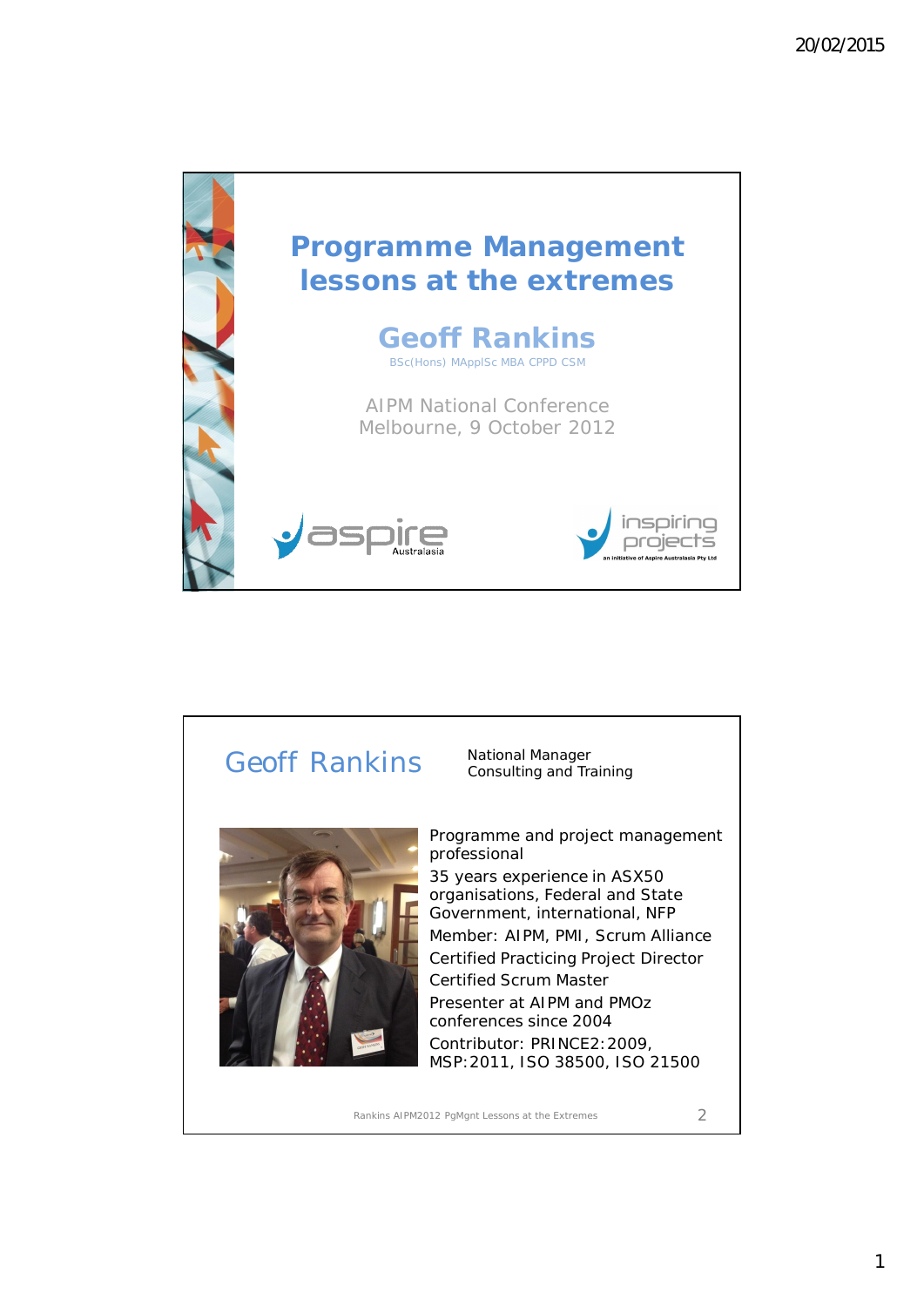



Rankins AIPM2012 PgMgnt Lessons at the Extremes 2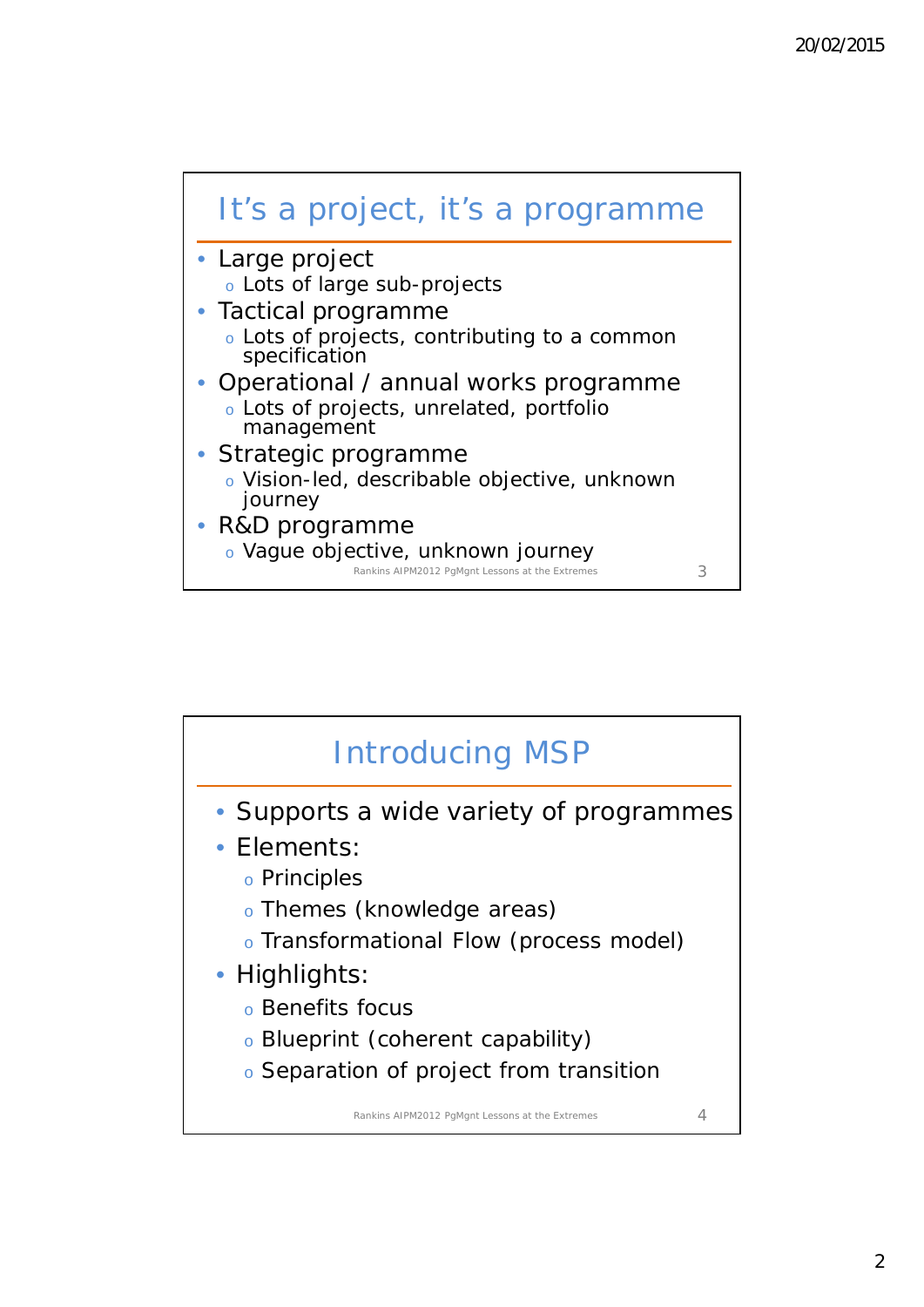

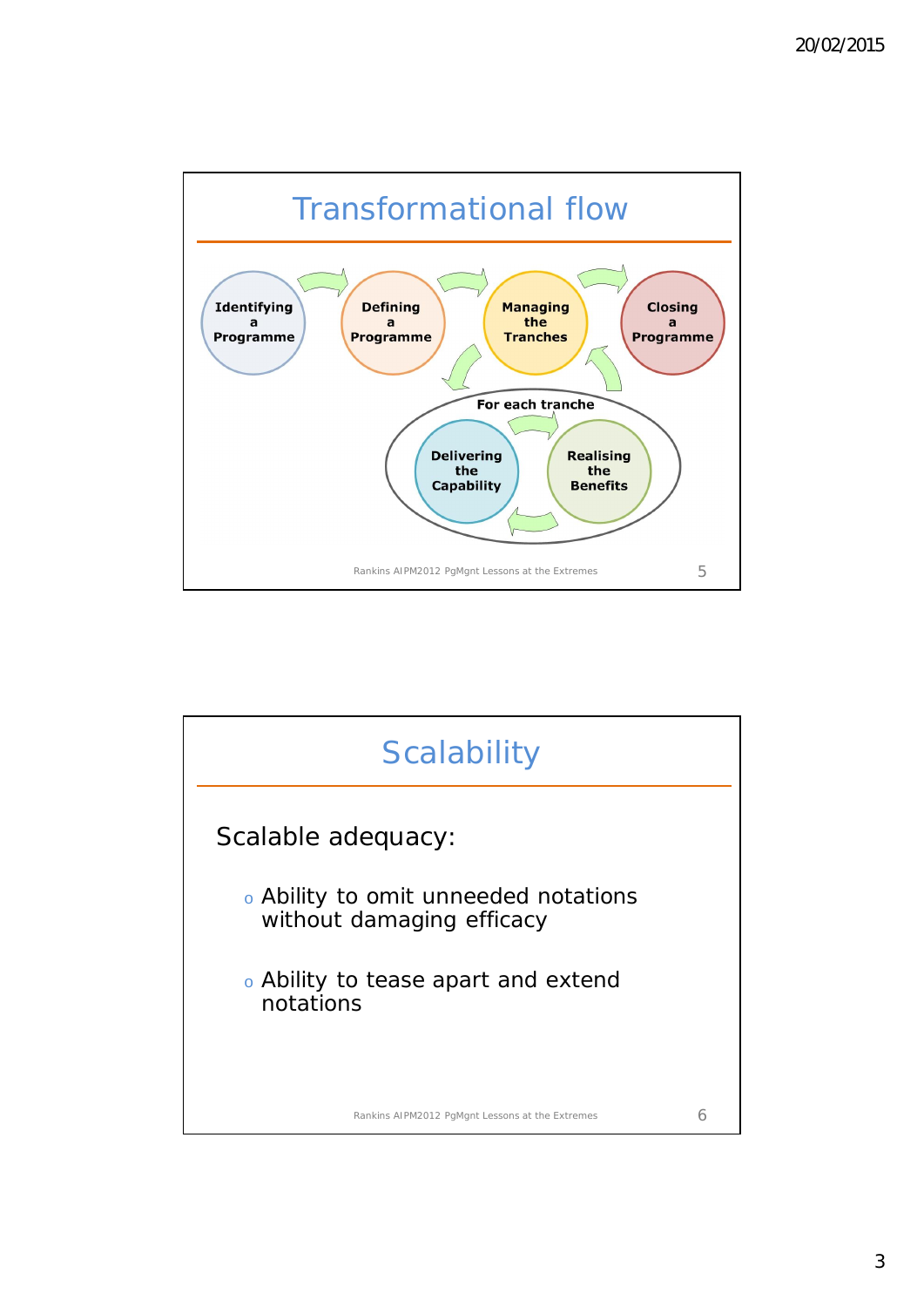

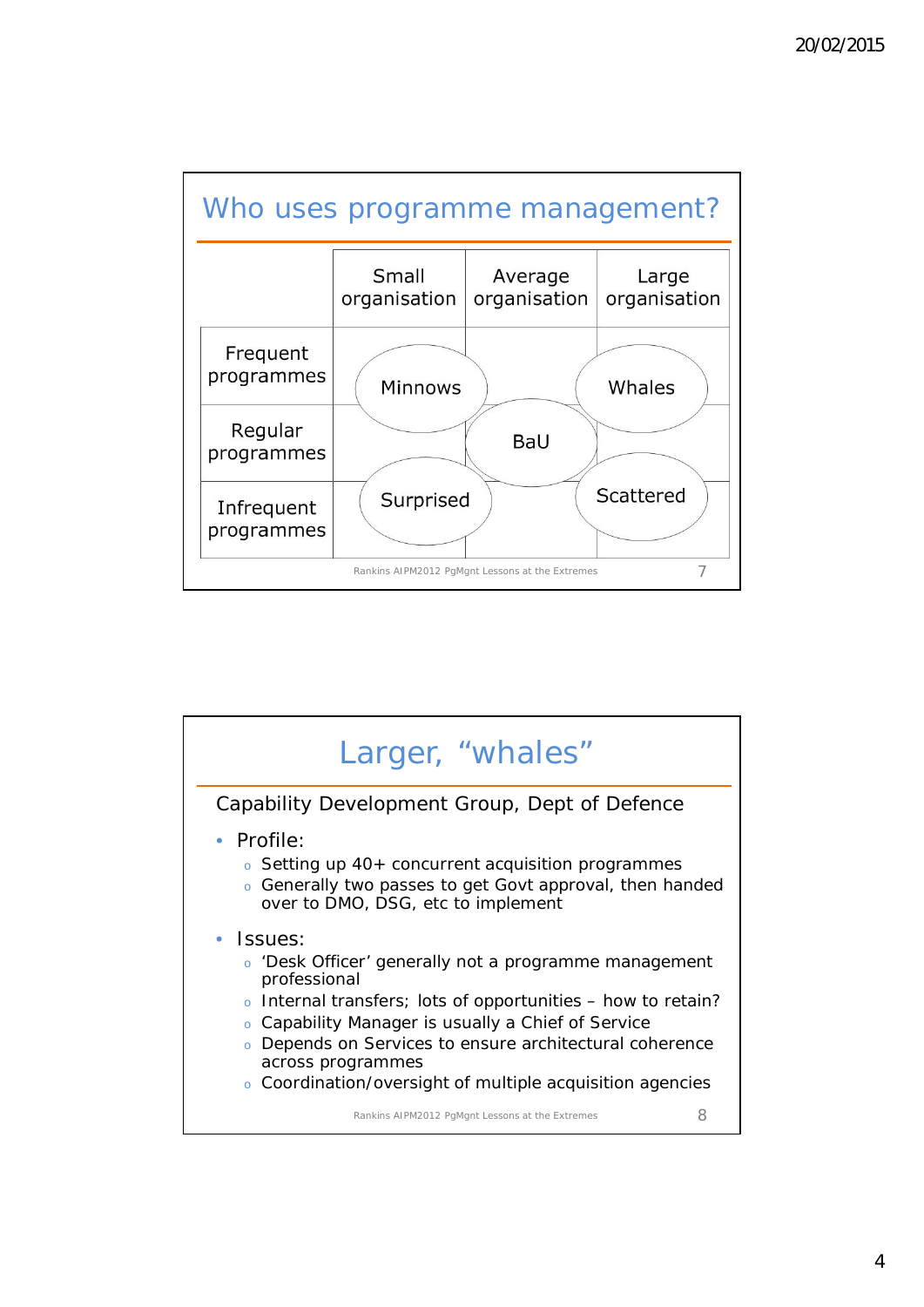

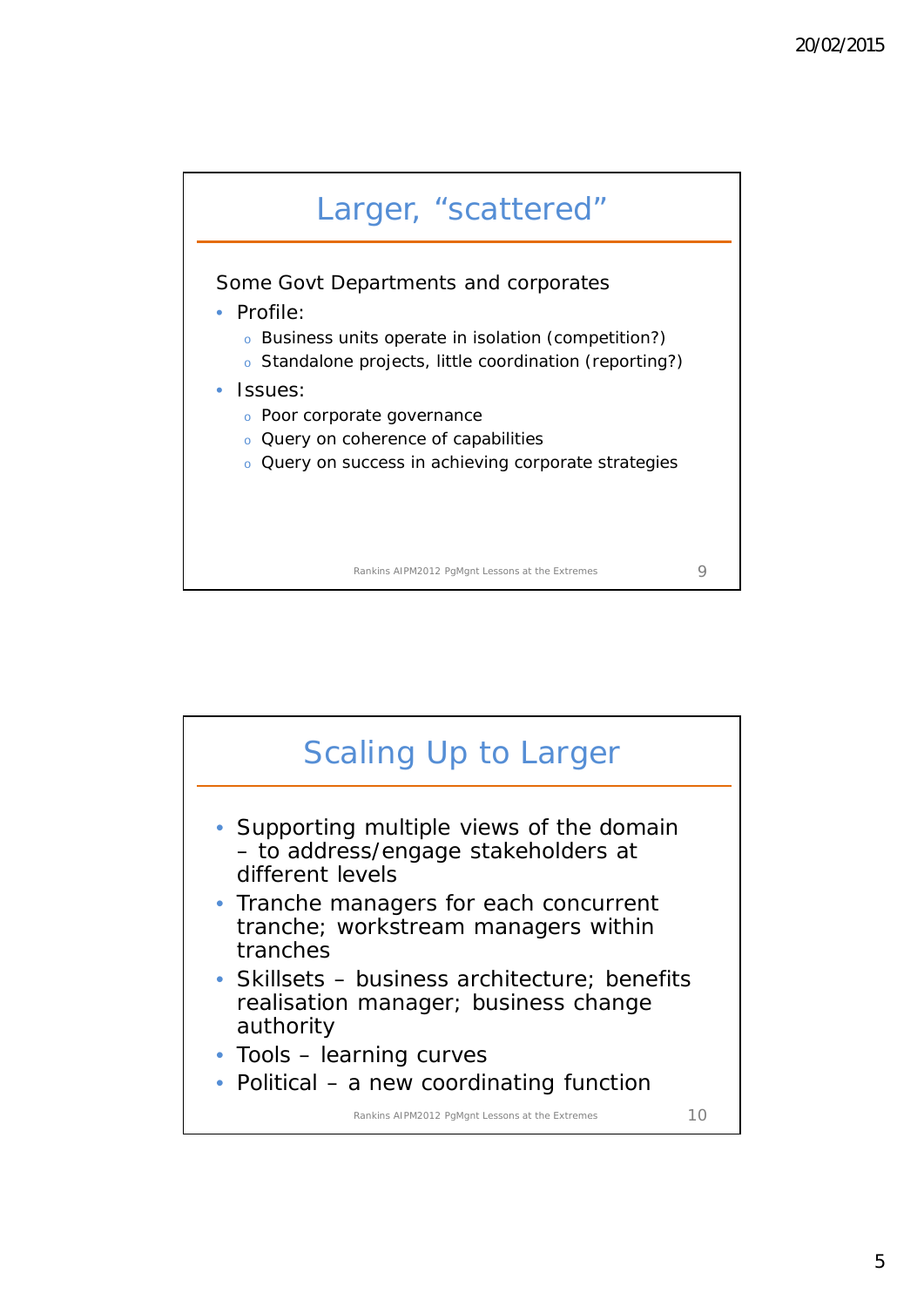



5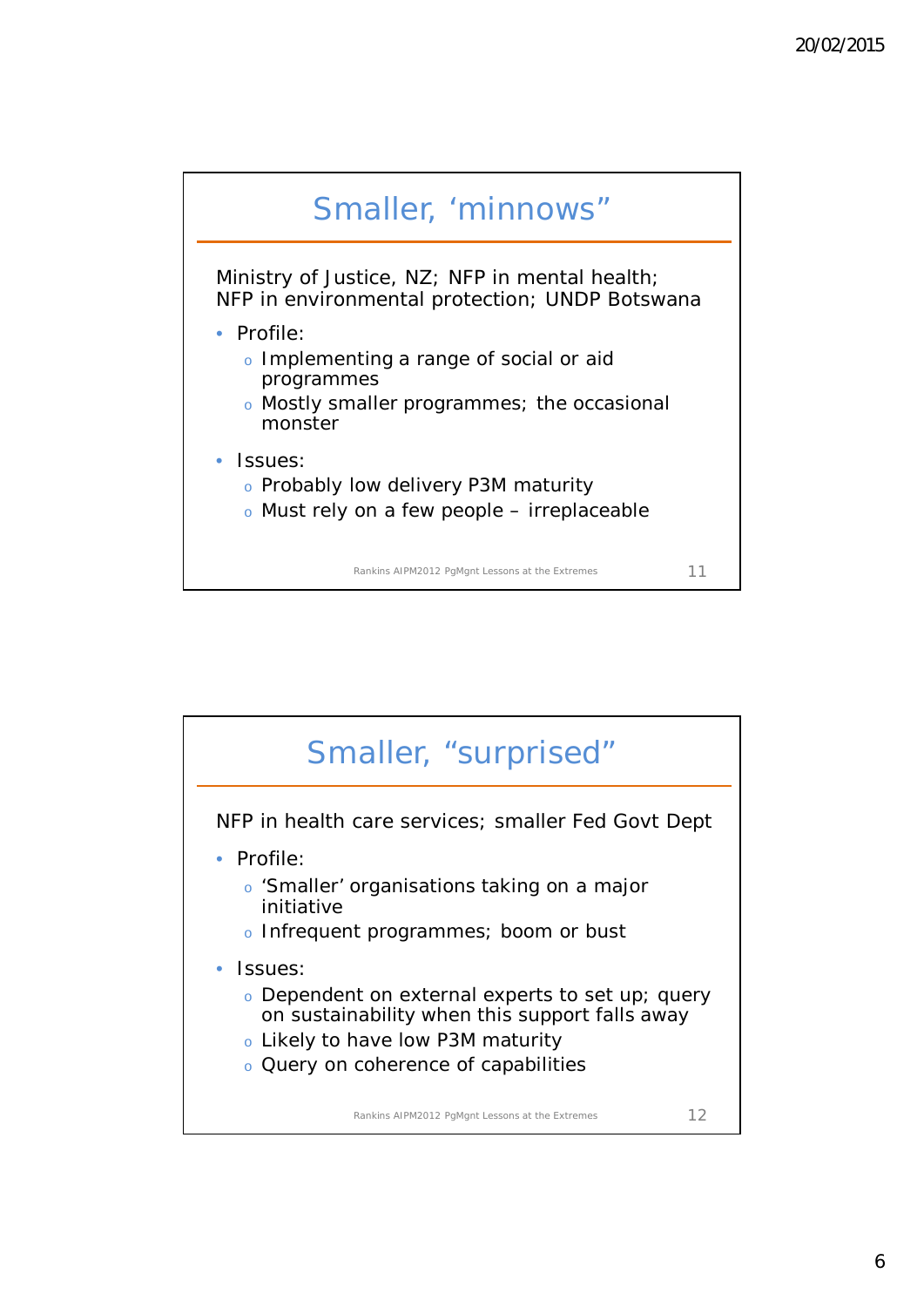

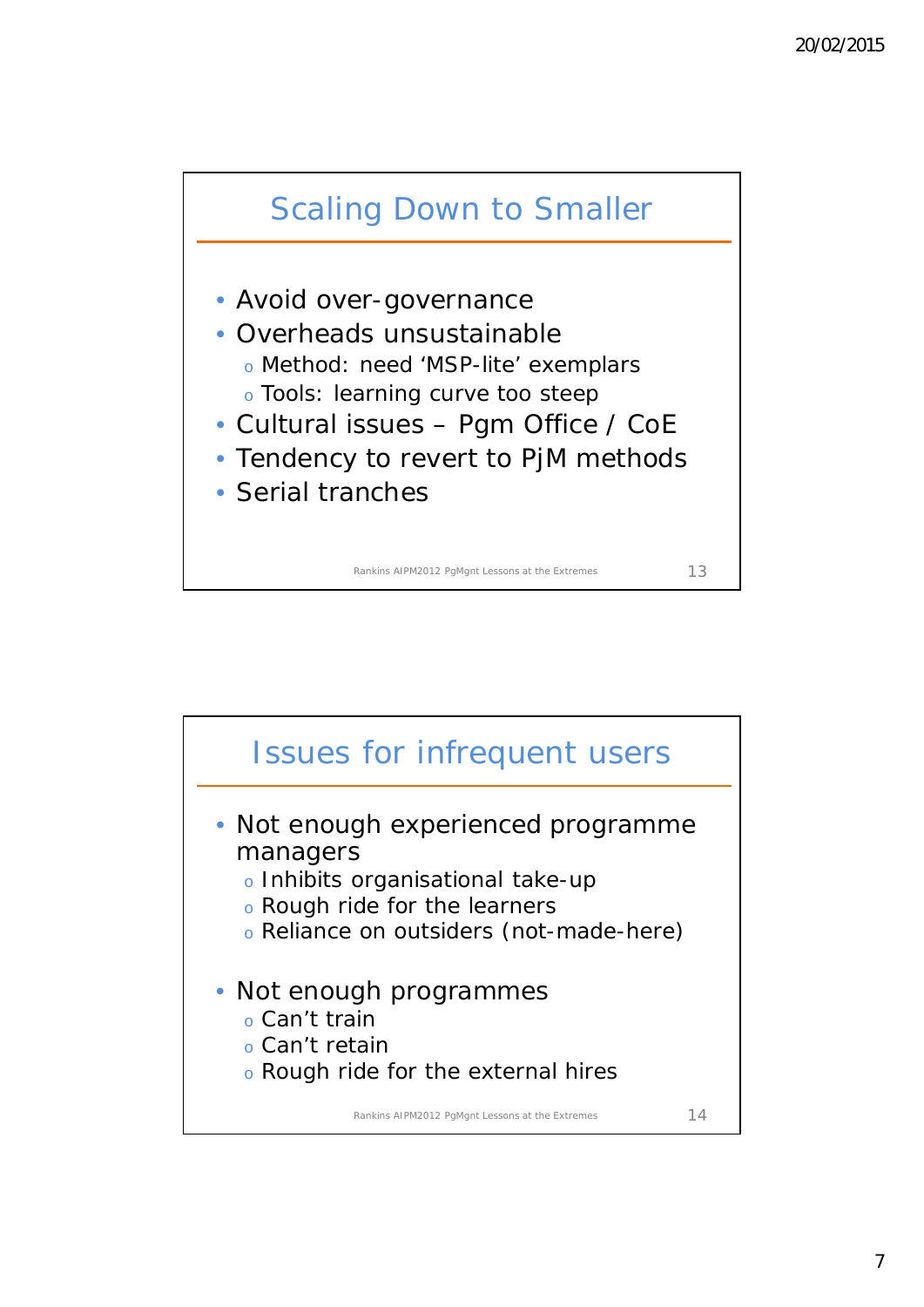

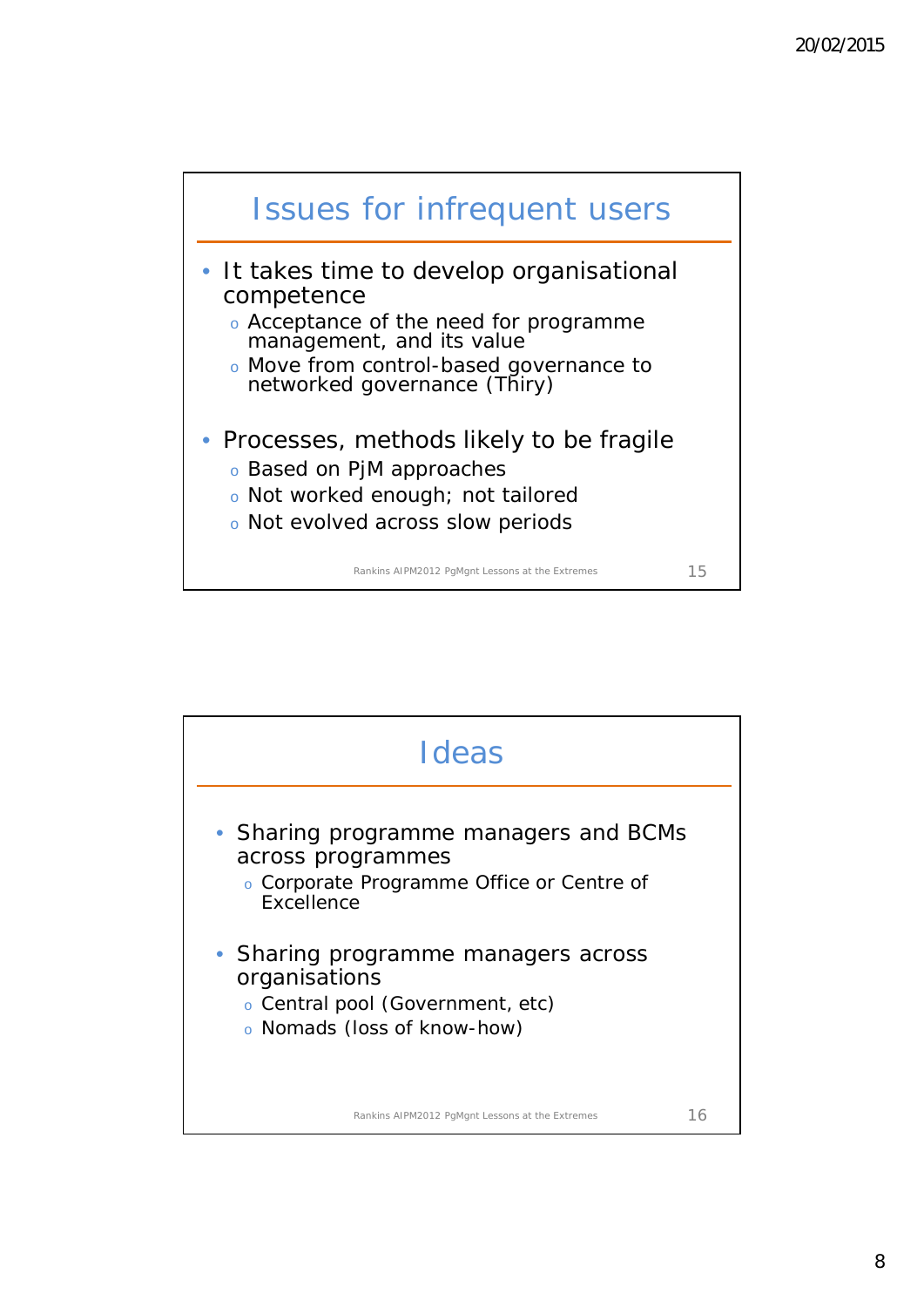



8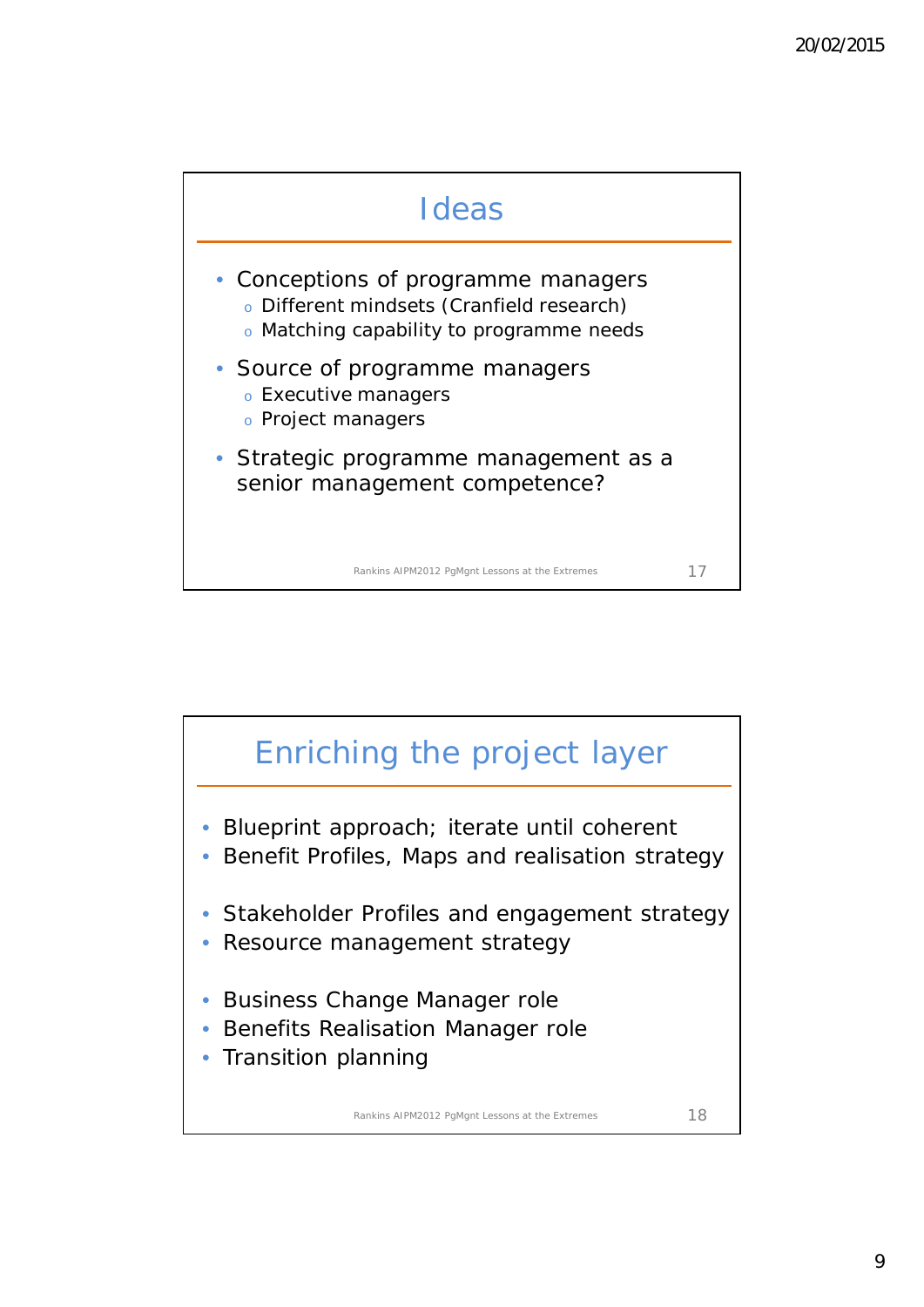



9